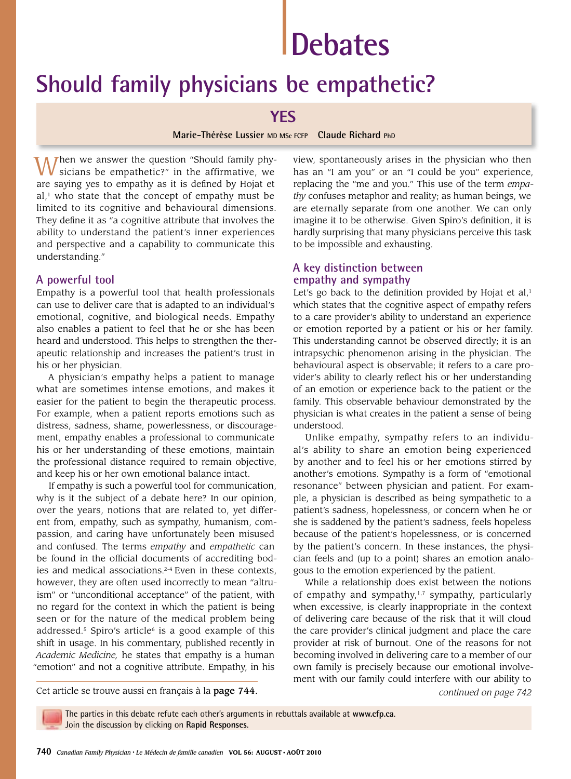# **Debates**

## **Should family physicians be empathetic?**

## **YES**

**Marie-Thérèse Lussier MD MSc FCFP Claude Richard PhD**

When we answer the question "Should family physicians be empathetic?" in the affirmative, we are saying yes to empathy as it is defined by Hojat et  $al<sub>i</sub>$ <sup>1</sup> who state that the concept of empathy must be limited to its cognitive and behavioural dimensions. They define it as "a cognitive attribute that involves the ability to understand the patient's inner experiences and perspective and a capability to communicate this understanding."

#### **A powerful tool**

Empathy is a powerful tool that health professionals can use to deliver care that is adapted to an individual's emotional, cognitive, and biological needs. Empathy also enables a patient to feel that he or she has been heard and understood. This helps to strengthen the therapeutic relationship and increases the patient's trust in his or her physician.

A physician's empathy helps a patient to manage what are sometimes intense emotions, and makes it easier for the patient to begin the therapeutic process. For example, when a patient reports emotions such as distress, sadness, shame, powerlessness, or discouragement, empathy enables a professional to communicate his or her understanding of these emotions, maintain the professional distance required to remain objective, and keep his or her own emotional balance intact.

If empathy is such a powerful tool for communication, why is it the subject of a debate here? In our opinion, over the years, notions that are related to, yet different from, empathy, such as sympathy, humanism, compassion, and caring have unfortunately been misused and confused. The terms *empathy* and *empathetic* can be found in the official documents of accrediting bodies and medical associations.2-4 Even in these contexts, however, they are often used incorrectly to mean "altruism" or "unconditional acceptance" of the patient, with no regard for the context in which the patient is being seen or for the nature of the medical problem being addressed. $5$  Spiro's article $6$  is a good example of this shift in usage. In his commentary, published recently in *Academic Medicine,* he states that empathy is a human "emotion" and not a cognitive attribute. Empathy, in his

view, spontaneously arises in the physician who then has an "I am you" or an "I could be you" experience, replacing the "me and you." This use of the term *empathy* confuses metaphor and reality; as human beings, we are eternally separate from one another. We can only imagine it to be otherwise. Given Spiro's definition, it is hardly surprising that many physicians perceive this task to be impossible and exhausting.

## **A key distinction between empathy and sympathy**

Let's go back to the definition provided by Hojat et al, $<sup>1</sup>$ </sup> which states that the cognitive aspect of empathy refers to a care provider's ability to understand an experience or emotion reported by a patient or his or her family. This understanding cannot be observed directly; it is an intrapsychic phenomenon arising in the physician. The behavioural aspect is observable; it refers to a care provider's ability to clearly reflect his or her understanding of an emotion or experience back to the patient or the family. This observable behaviour demonstrated by the physician is what creates in the patient a sense of being understood.

Unlike empathy, sympathy refers to an individual's ability to share an emotion being experienced by another and to feel his or her emotions stirred by another's emotions. Sympathy is a form of "emotional resonance" between physician and patient. For example, a physician is described as being sympathetic to a patient's sadness, hopelessness, or concern when he or she is saddened by the patient's sadness, feels hopeless because of the patient's hopelessness, or is concerned by the patient's concern. In these instances, the physician feels and (up to a point) shares an emotion analogous to the emotion experienced by the patient.

While a relationship does exist between the notions of empathy and sympathy, $1/7$  sympathy, particularly when excessive, is clearly inappropriate in the context of delivering care because of the risk that it will cloud the care provider's clinical judgment and place the care provider at risk of burnout. One of the reasons for not becoming involved in delivering care to a member of our own family is precisely because our emotional involvement with our family could interfere with our ability to Cet article se trouve aussi en français à la page 744. *continued on page 742*

The parties in this debate refute each other's arguments in rebuttals available at **www.cfp.ca**. Join the discussion by clicking on **Rapid Responses**.